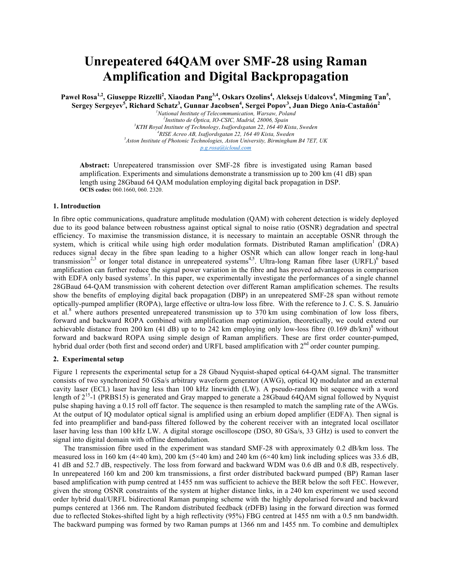# **Unrepeatered 64QAM over SMF-28 using Raman Amplification and Digital Backpropagation**

**Paweł Rosa1,2, Giuseppe Rizzelli<sup>2</sup> , Xiaodan Pang3,4, Oskars Ozolins4 , Aleksejs Udalcovs<sup>4</sup> , Mingming Tan<sup>5</sup> , Sergey Sergeyev<sup>5</sup> , Richard Schatz<sup>3</sup> , Gunnar Jacobsen<sup>4</sup> , Sergei Popov<sup>3</sup> , Juan Diego Ania-Castañón<sup>2</sup>**

 *National Institute of Telecommunication, Warsaw, Poland Instituto de Óptica, IO-CSIC, Madrid, 28006, Spain KTH Royal Institute of Technology, Isafjordsgatan 22, 164 40 Kista, Sweden <sup>4</sup> RISE Acreo AB, Isafjordsgatan 22, 164 40 Kista, Sweden Aston Institute of Photonic Technologies, Aston University, Birmingham B4 7ET, UK p.g.rosa@icloud.com*

**Abstract:** Unrepeatered transmission over SMF-28 fibre is investigated using Raman based amplification. Experiments and simulations demonstrate a transmission up to 200 km (41 dB) span length using 28Gbaud 64 QAM modulation employing digital back propagation in DSP. **OCIS codes:** 060.1660, 060. 2320.

## **1. Introduction**

In fibre optic communications, quadrature amplitude modulation (QAM) with coherent detection is widely deployed due to its good balance between robustness against optical signal to noise ratio (OSNR) degradation and spectral efficiency. To maximise the transmission distance, it is necessary to maintain an acceptable OSNR through the system, which is critical while using high order modulation formats. Distributed Raman amplification<sup>1</sup> (DRA) reduces signal decay in the fibre span leading to a higher OSNR which can allow longer reach in long-haul transmission<sup>2,3</sup> or longer total distance in unrepeatered systems<sup>4,5</sup>. Ultra-long Raman fibre laser (URFL)<sup>6</sup> based amplification can further reduce the signal power variation in the fibre and has proved advantageous in comparison with EDFA only based systems<sup>7</sup>. In this paper, we experimentally investigate the performances of a single channel 28GBaud 64-QAM transmission with coherent detection over different Raman amplification schemes. The results show the benefits of employing digital back propagation (DBP) in an unrepeatered SMF-28 span without remote optically-pumped amplifier (ROPA), large effective or ultra-low loss fibre. With the reference to J. C. S. S. Januário et al.<sup>8</sup> where authors presented unrepeatered transmission up to 370 km using combination of low loss fibers, forward and backward ROPA combined with amplification map optimization, theoretically, we could extend our achievable distance from 200 km (41 dB) up to to 242 km employing only low-loss fibre (0.169 db/km)<sup>8</sup> without forward and backward ROPA using simple design of Raman amplifiers. These are first order counter-pumped, hybrid dual order (both first and second order) and URFL based amplification with 2<sup>nd</sup> order counter pumping.

#### **2. Experimental setup**

Figure 1 represents the experimental setup for a 28 Gbaud Nyquist-shaped optical 64-QAM signal. The transmitter consists of two synchronized 50 GSa/s arbitrary waveform generator (AWG), optical IQ modulator and an external cavity laser (ECL) laser having less than 100 kHz linewidth (LW). A pseudo-random bit sequence with a word length of  $2^{15}$ -1 (PRBS15) is generated and Gray mapped to generate a 28Gbaud 64QAM signal followed by Nyquist pulse shaping having a 0.15 roll off factor. The sequence is then resampled to match the sampling rate of the AWGs. At the output of IQ modulator optical signal is amplified using an erbium doped amplifier (EDFA). Then signal is fed into preamplifier and band-pass filtered followed by the coherent receiver with an integrated local oscillator laser having less than 100 kHz LW. A digital storage oscilloscope (DSO, 80 GSa/s, 33 GHz) is used to convert the signal into digital domain with offline demodulation.

The transmission fibre used in the experiment was standard SMF-28 with approximately 0.2 dB/km loss. The measured loss in 160 km (4×40 km), 200 km (5×40 km) and 240 km (6×40 km) link including splices was 33.6 dB, 41 dB and 52.7 dB, respectively. The loss from forward and backward WDM was 0.6 dB and 0.8 dB, respectively. In unrepeatered 160 km and 200 km transmissions, a first order distributed backward pumped (BP) Raman laser based amplification with pump centred at 1455 nm was sufficient to achieve the BER below the soft FEC. However, given the strong OSNR constraints of the system at higher distance links, in a 240 km experiment we used second order hybrid dual/URFL bidirectional Raman pumping scheme with the highly depolarised forward and backward pumps centered at 1366 nm. The Random distributed feedback (rDFB) lasing in the forward direction was formed due to reflected Stokes-shifted light by a high reflectivity (95%) FBG centred at 1455 nm with a 0.5 nm bandwidth. The backward pumping was formed by two Raman pumps at 1366 nm and 1455 nm. To combine and demultiplex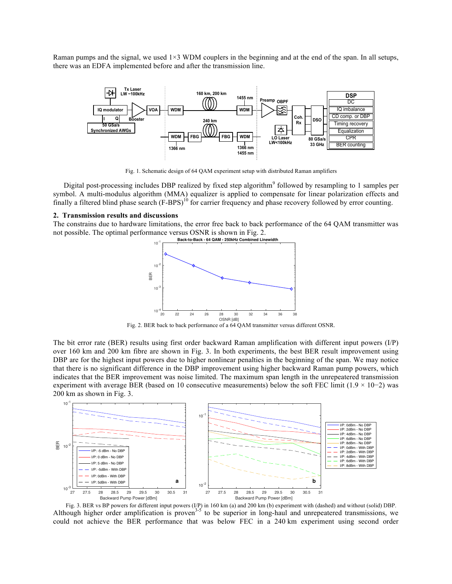Raman pumps and the signal, we used  $1\times3$  WDM couplers in the beginning and at the end of the span. In all setups, there was an EDFA implemented before and after the transmission line.



Fig. 1. Schematic design of 64 QAM experiment setup with distributed Raman amplifiers

Digital post-processing includes DBP realized by fixed step algorithm<sup>9</sup> followed by resampling to 1 samples per symbol. A multi-modulus algorithm (MMA) equalizer is applied to compensate for linear polarization effects and finally a filtered blind phase search (F-BPS)<sup>10</sup> for carrier frequency and phase recovery followed by error counting.

## **2. Transmission results and discussions**

The constrains due to hardware limitations, the error free back to back performance of the 64 QAM transmitter was not possible. The optimal performance versus OSNR is shown in Fig. 2.



Fig. 2. BER back to back performance of a 64 QAM transmitter versus different OSNR.

The bit error rate (BER) results using first order backward Raman amplification with different input powers (I/P) over 160 km and 200 km fibre are shown in Fig. 3. In both experiments, the best BER result improvement using DBP are for the highest input powers due to higher nonlinear penalties in the beginning of the span. We may notice that there is no significant difference in the DBP improvement using higher backward Raman pump powers, which indicates that the BER improvement was noise limited. The maximum span length in the unrepeatered transmission experiment with average BER (based on 10 consecutive measurements) below the soft FEC limit (1.9 × 10−2) was 200 km as shown in Fig. 3.



Fig. 3. BER vs BP powers for different input powers (I/P) in 160 km (a) and 200 km (b) experiment with (dashed) and without (solid) DBP. Although higher order amplification is proven<sup>3-5</sup> to be superior in long-haul and unrepeatered transmissions, we could not achieve the BER performance that was below FEC in a 240 km experiment using second order